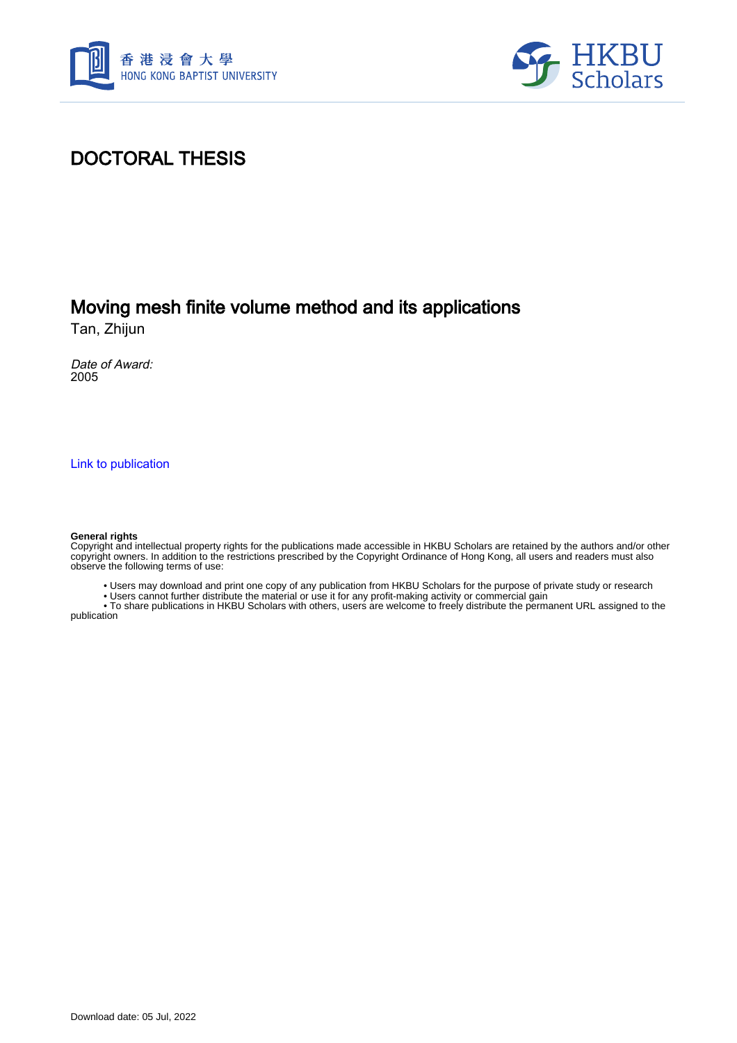



# DOCTORAL THESIS

# Moving mesh finite volume method and its applications

Tan, Zhijun

Date of Award: 2005

[Link to publication](https://scholars.hkbu.edu.hk/en/studentTheses/f07b707c-7310-412a-aa94-47fb6572ef3a)

#### **General rights**

Copyright and intellectual property rights for the publications made accessible in HKBU Scholars are retained by the authors and/or other copyright owners. In addition to the restrictions prescribed by the Copyright Ordinance of Hong Kong, all users and readers must also observe the following terms of use:

• Users may download and print one copy of any publication from HKBU Scholars for the purpose of private study or research

• Users cannot further distribute the material or use it for any profit-making activity or commercial gain

 • To share publications in HKBU Scholars with others, users are welcome to freely distribute the permanent URL assigned to the publication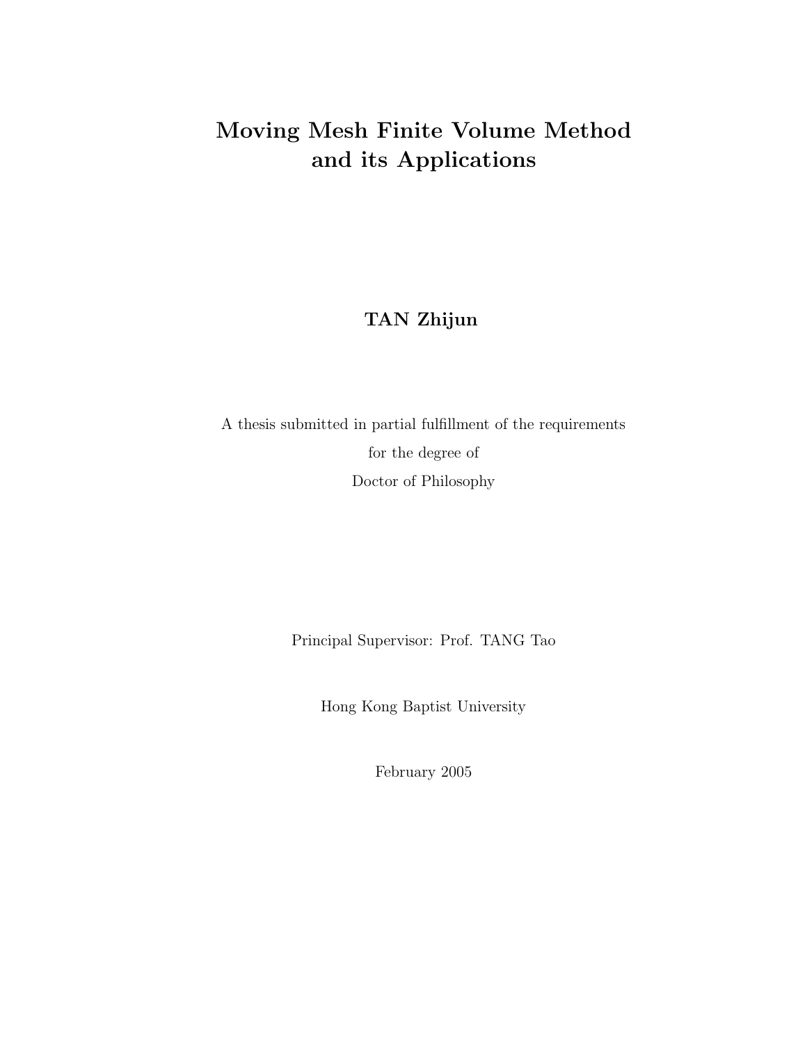# **Moving Mesh Finite Volume Method and its Applications**

### **TAN Zhijun**

A thesis submitted in partial fulfillment of the requirements for the degree of Doctor of Philosophy

Principal Supervisor: Prof. TANG Tao

Hong Kong Baptist University

February 2005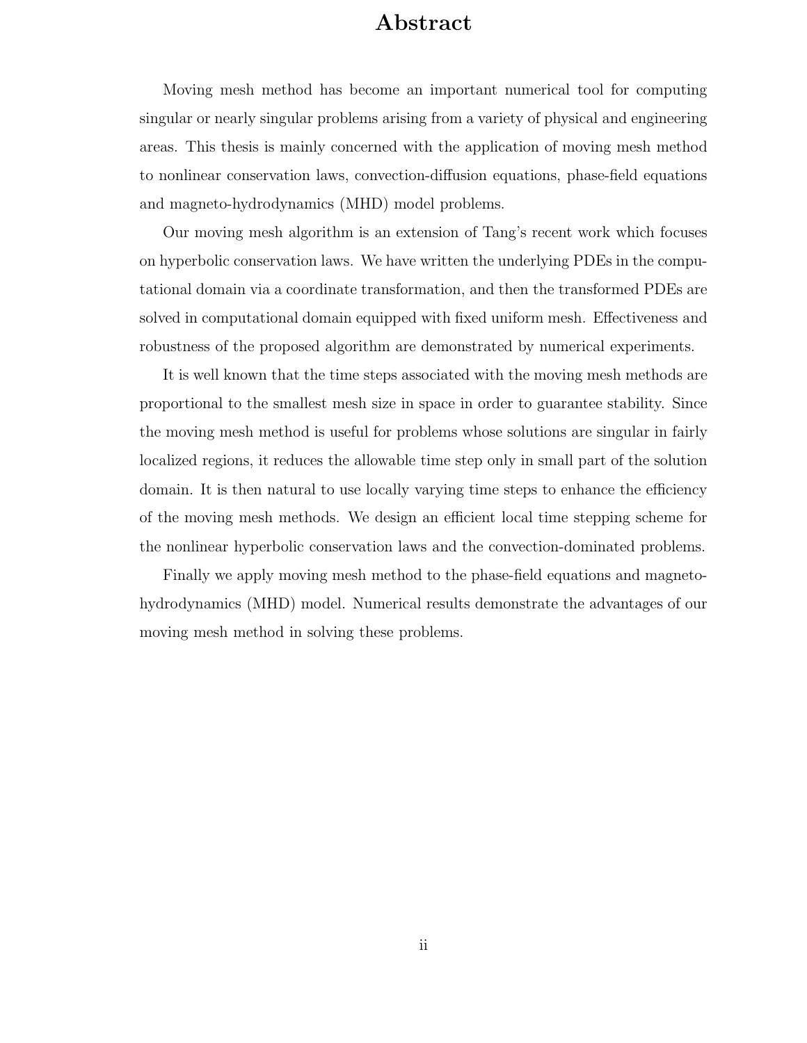## **Abstract**

Moving mesh method has become an important numerical tool for computing singular or nearly singular problems arising from a variety of physical and engineering areas. This thesis is mainly concerned with the application of moving mesh method to nonlinear conservation laws, convection-diffusion equations, phase-field equations and magneto-hydrodynamics (MHD) model problems.

Our moving mesh algorithm is an extension of Tang's recent work which focuses on hyperbolic conservation laws. We have written the underlying PDEs in the computational domain via a coordinate transformation, and then the transformed PDEs are solved in computational domain equipped with fixed uniform mesh. Effectiveness and robustness of the proposed algorithm are demonstrated by numerical experiments.

It is well known that the time steps associated with the moving mesh methods are proportional to the smallest mesh size in space in order to guarantee stability. Since the moving mesh method is useful for problems whose solutions are singular in fairly localized regions, it reduces the allowable time step only in small part of the solution domain. It is then natural to use locally varying time steps to enhance the efficiency of the moving mesh methods. We design an efficient local time stepping scheme for the nonlinear hyperbolic conservation laws and the convection-dominated problems.

Finally we apply moving mesh method to the phase-field equations and magnetohydrodynamics (MHD) model. Numerical results demonstrate the advantages of our moving mesh method in solving these problems.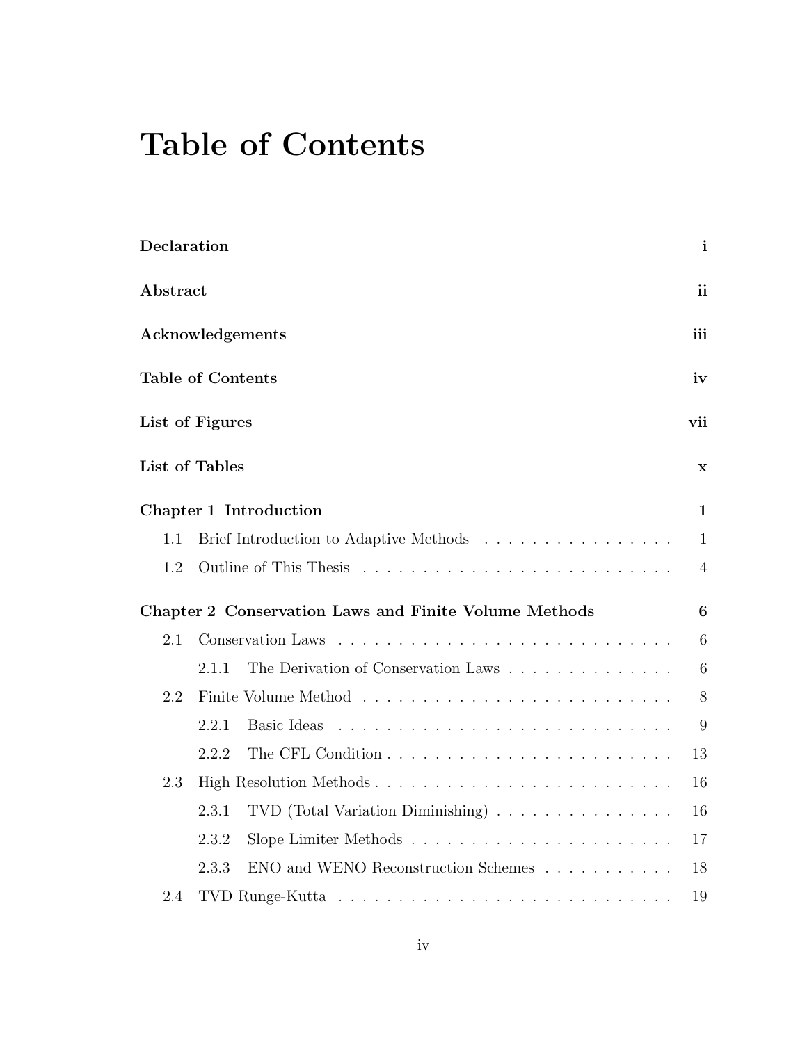# **Table of Contents**

| Declaration      |                          |                                                                        | $\mathbf{i}$    |  |
|------------------|--------------------------|------------------------------------------------------------------------|-----------------|--|
| Abstract         |                          |                                                                        |                 |  |
| Acknowledgements |                          |                                                                        |                 |  |
|                  | <b>Table of Contents</b> |                                                                        | iv              |  |
|                  | List of Figures          |                                                                        | vii             |  |
|                  | List of Tables           |                                                                        | $\mathbf x$     |  |
|                  |                          | Chapter 1 Introduction                                                 | 1               |  |
| 1.1              |                          | Brief Introduction to Adaptive Methods                                 | $\mathbf{1}$    |  |
| 1.2              |                          |                                                                        | $\overline{4}$  |  |
|                  |                          | Chapter 2 Conservation Laws and Finite Volume Methods                  | $6\phantom{1}6$ |  |
| 2.1              |                          | Conservation Laws                                                      | 6               |  |
|                  | 2.1.1                    | The Derivation of Conservation Laws                                    | 6               |  |
| 2.2              |                          |                                                                        | $8\,$           |  |
|                  | 2.2.1                    | Basic Ideas                                                            | 9               |  |
|                  | 2.2.2                    |                                                                        | 13              |  |
| 2.3              | High Resolution Methods  |                                                                        |                 |  |
|                  | 2.3.1                    | TVD (Total Variation Diminishing) $\ldots \ldots \ldots \ldots \ldots$ | 16              |  |
|                  | 2.3.2                    |                                                                        | 17              |  |
|                  | 2.3.3                    | ENO and WENO Reconstruction Schemes $\ldots \ldots \ldots$             | 18              |  |
| 2.4              |                          |                                                                        | 19              |  |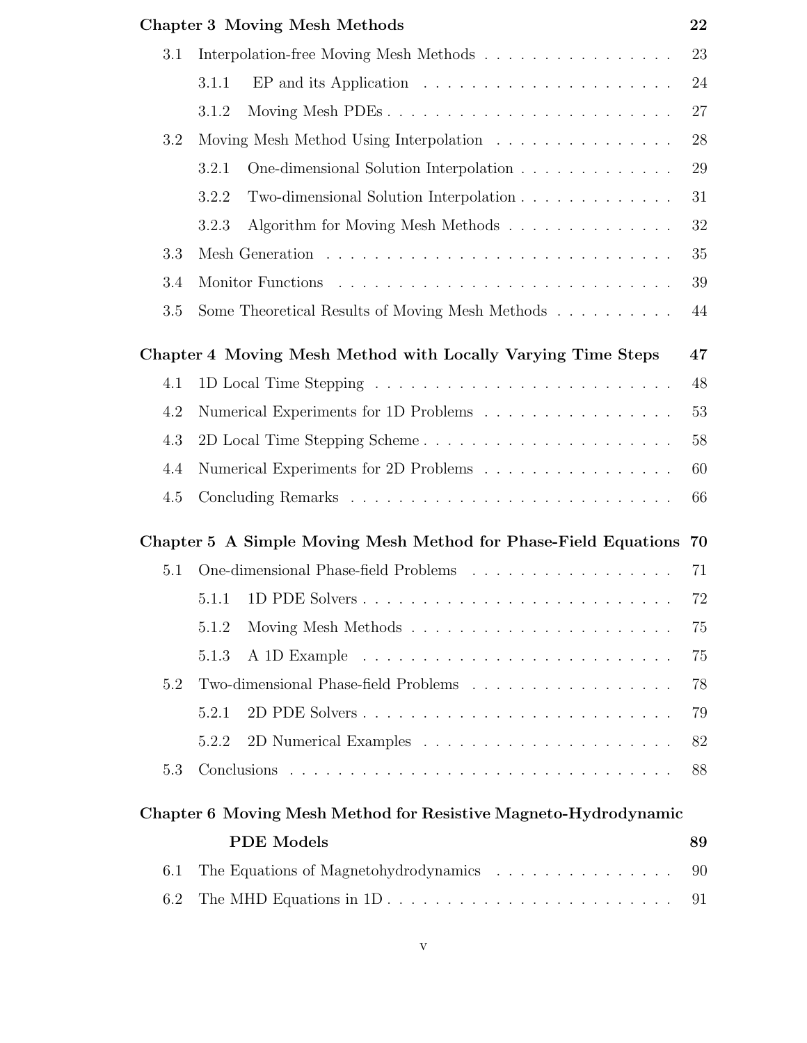|     | <b>Chapter 3 Moving Mesh Methods</b>                                                 | 22 |  |  |
|-----|--------------------------------------------------------------------------------------|----|--|--|
| 3.1 | Interpolation-free Moving Mesh Methods                                               | 23 |  |  |
|     | $EP$ and its Application $\ldots \ldots \ldots \ldots \ldots \ldots \ldots$<br>3.1.1 | 24 |  |  |
|     | 3.1.2                                                                                | 27 |  |  |
| 3.2 | Moving Mesh Method Using Interpolation                                               | 28 |  |  |
|     | One-dimensional Solution Interpolation<br>3.2.1                                      | 29 |  |  |
|     | Two-dimensional Solution Interpolation<br>3.2.2                                      | 31 |  |  |
|     | Algorithm for Moving Mesh Methods<br>3.2.3                                           | 32 |  |  |
| 3.3 |                                                                                      |    |  |  |
| 3.4 | 39                                                                                   |    |  |  |
| 3.5 | Some Theoretical Results of Moving Mesh Methods                                      | 44 |  |  |
|     | Chapter 4 Moving Mesh Method with Locally Varying Time Steps                         | 47 |  |  |
| 4.1 |                                                                                      | 48 |  |  |
| 4.2 | Numerical Experiments for 1D Problems                                                | 53 |  |  |
| 4.3 | 58<br>2D Local Time Stepping Scheme                                                  |    |  |  |
| 4.4 | Numerical Experiments for 2D Problems<br>60                                          |    |  |  |
| 4.5 | 66                                                                                   |    |  |  |
|     | Chapter 5 A Simple Moving Mesh Method for Phase-Field Equations                      | 70 |  |  |
| 5.1 | One-dimensional Phase-field Problems                                                 | 71 |  |  |
|     | 5.1.1                                                                                | 72 |  |  |
|     | 5.1.2                                                                                | 75 |  |  |
|     | 5.1.3                                                                                | 75 |  |  |
| 5.2 | Two-dimensional Phase-field Problems                                                 | 78 |  |  |
|     | 2D PDE Solvers<br>5.2.1                                                              | 79 |  |  |
|     | 5.2.2                                                                                | 82 |  |  |
| 5.3 |                                                                                      | 88 |  |  |
|     | Chapter 6 Moving Mesh Method for Resistive Magneto-Hydrodynamic                      |    |  |  |
|     | <b>PDE</b> Models                                                                    | 89 |  |  |
| 6.1 | The Equations of Magnetohydrodynamics                                                |    |  |  |
| 6.2 | The MHD Equations in $1D \ldots \ldots \ldots \ldots \ldots \ldots \ldots \ldots$    | 91 |  |  |